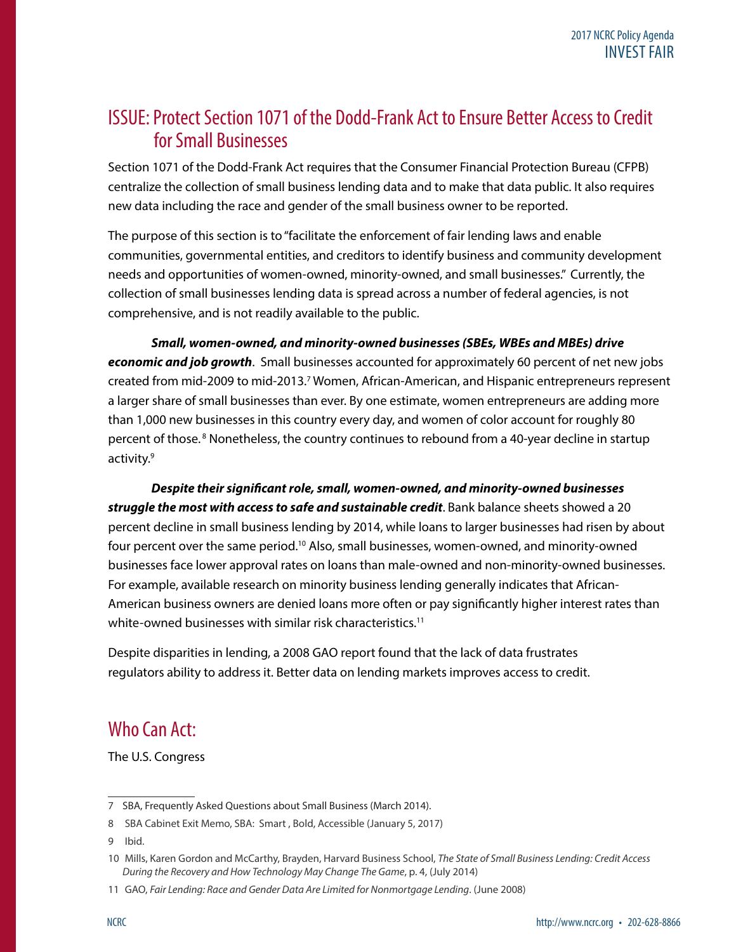## ISSUE: Protect Section 1071 of the Dodd-Frank Act to Ensure Better Access to Credit for Small Businesses

Section 1071 of the Dodd-Frank Act requires that the Consumer Financial Protection Bureau (CFPB) centralize the collection of small business lending data and to make that data public. It also requires new data including the race and gender of the small business owner to be reported.

The purpose of this section is to "facilitate the enforcement of fair lending laws and enable communities, governmental entities, and creditors to identify business and community development needs and opportunities of women-owned, minority-owned, and small businesses." Currently, the collection of small businesses lending data is spread across a number of federal agencies, is not comprehensive, and is not readily available to the public.

*Small, women-owned, and minority-owned businesses (SBEs, WBEs and MBEs) drive economic and job growth*. Small businesses accounted for approximately 60 percent of net new jobs created from mid-2009 to mid-2013.<sup>7</sup> Women, African-American, and Hispanic entrepreneurs represent a larger share of small businesses than ever. By one estimate, women entrepreneurs are adding more than 1,000 new businesses in this country every day, and women of color account for roughly 80 percent of those.<sup>8</sup> Nonetheless, the country continues to rebound from a 40-year decline in startup activity.<sup>9</sup>

*Despite their significant role, small, women-owned, and minority-owned businesses struggle the most with access to safe and sustainable credit*. Bank balance sheets showed a 20 percent decline in small business lending by 2014, while loans to larger businesses had risen by about four percent over the same period.<sup>10</sup> Also, small businesses, women-owned, and minority-owned businesses face lower approval rates on loans than male-owned and non-minority-owned businesses. For example, available research on minority business lending generally indicates that African-American business owners are denied loans more often or pay significantly higher interest rates than white-owned businesses with similar risk characteristics.<sup>11</sup>

Despite disparities in lending, a 2008 GAO report found that the lack of data frustrates regulators ability to address it. Better data on lending markets improves access to credit.

## Who Can Act:

The U.S. Congress

9 Ibid.

<sup>7</sup> SBA, Frequently Asked Questions about Small Business (March 2014).

<sup>8</sup> SBA Cabinet Exit Memo, SBA: Smart , Bold, Accessible (January 5, 2017)

<sup>10</sup> Mills, Karen Gordon and McCarthy, Brayden, Harvard Business School, *The State of Small Business Lending: Credit Access During the Recovery and How Technology May Change The Game*, p. 4, (July 2014)

<sup>11</sup> GAO, *Fair Lending: Race and Gender Data Are Limited for Nonmortgage Lending*. (June 2008)